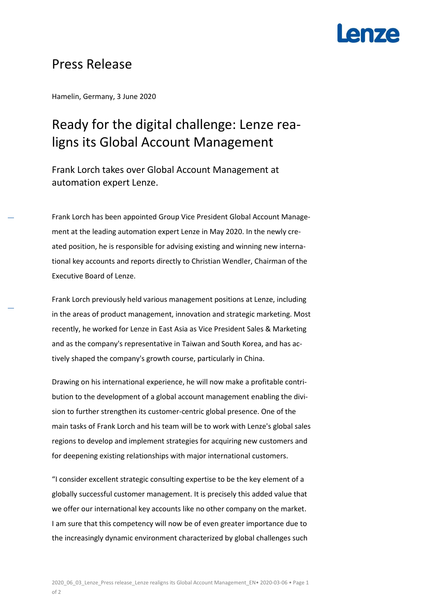# **AN7A**

### Press Release

Hamelin, Germany, 3 June 2020

## Ready for the digital challenge: Lenze realigns its Global Account Management

Frank Lorch takes over Global Account Management at automation expert Lenze.

Frank Lorch has been appointed Group Vice President Global Account Management at the leading automation expert Lenze in May 2020. In the newly created position, he is responsible for advising existing and winning new international key accounts and reports directly to Christian Wendler, Chairman of the Executive Board of Lenze.

Frank Lorch previously held various management positions at Lenze, including in the areas of product management, innovation and strategic marketing. Most recently, he worked for Lenze in East Asia as Vice President Sales & Marketing and as the company's representative in Taiwan and South Korea, and has actively shaped the company's growth course, particularly in China.

Drawing on his international experience, he will now make a profitable contribution to the development of a global account management enabling the division to further strengthen its customer-centric global presence. One of the main tasks of Frank Lorch and his team will be to work with Lenze's global sales regions to develop and implement strategies for acquiring new customers and for deepening existing relationships with major international customers.

"I consider excellent strategic consulting expertise to be the key element of a globally successful customer management. It is precisely this added value that we offer our international key accounts like no other company on the market. I am sure that this competency will now be of even greater importance due to the increasingly dynamic environment characterized by global challenges such